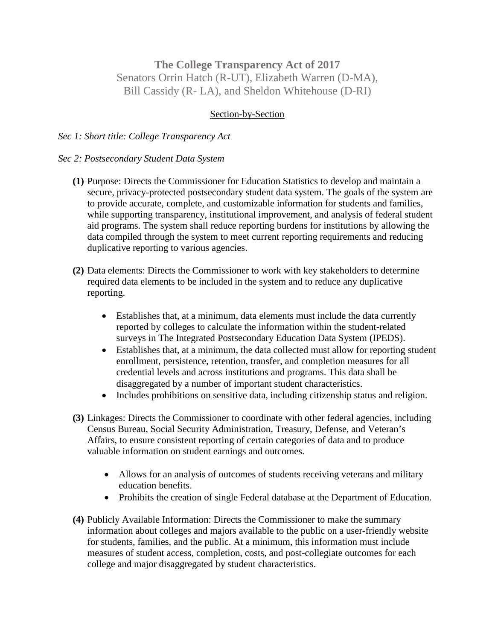## **The College Transparency Act of 2017** Senators Orrin Hatch (R-UT), Elizabeth Warren (D-MA), Bill Cassidy (R- LA), and Sheldon Whitehouse (D-RI)

## Section-by-Section

## *Sec 1: Short title: College Transparency Act*

## *Sec 2: Postsecondary Student Data System*

- **(1)** Purpose: Directs the Commissioner for Education Statistics to develop and maintain a secure, privacy-protected postsecondary student data system. The goals of the system are to provide accurate, complete, and customizable information for students and families, while supporting transparency, institutional improvement, and analysis of federal student aid programs. The system shall reduce reporting burdens for institutions by allowing the data compiled through the system to meet current reporting requirements and reducing duplicative reporting to various agencies.
- **(2)** Data elements: Directs the Commissioner to work with key stakeholders to determine required data elements to be included in the system and to reduce any duplicative reporting.
	- Establishes that, at a minimum, data elements must include the data currently reported by colleges to calculate the information within the student-related surveys in The Integrated Postsecondary Education Data System (IPEDS).
	- Establishes that, at a minimum, the data collected must allow for reporting student enrollment, persistence, retention, transfer, and completion measures for all credential levels and across institutions and programs. This data shall be disaggregated by a number of important student characteristics.
	- Includes prohibitions on sensitive data, including citizenship status and religion.
- **(3)** Linkages: Directs the Commissioner to coordinate with other federal agencies, including Census Bureau, Social Security Administration, Treasury, Defense, and Veteran's Affairs, to ensure consistent reporting of certain categories of data and to produce valuable information on student earnings and outcomes.
	- Allows for an analysis of outcomes of students receiving veterans and military education benefits.
	- Prohibits the creation of single Federal database at the Department of Education.
- **(4)** Publicly Available Information: Directs the Commissioner to make the summary information about colleges and majors available to the public on a user-friendly website for students, families, and the public. At a minimum, this information must include measures of student access, completion, costs, and post-collegiate outcomes for each college and major disaggregated by student characteristics.